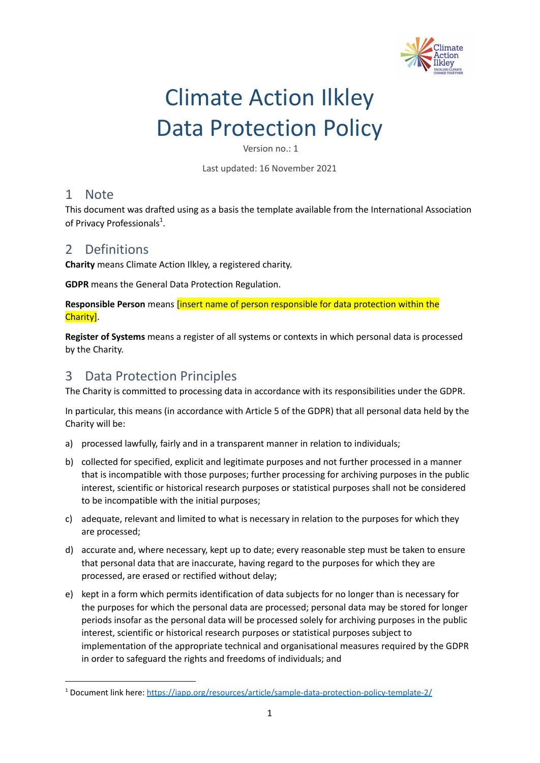

# Climate Action Ilkley Data Protection Policy

Version no.: 1

Last updated: 16 November 2021

## 1 Note

This document was drafted using as a basis the template available from the International Association of Privacy Professionals<sup>1</sup>.

# 2 Definitions

**Charity** means Climate Action Ilkley, a registered charity.

**GDPR** means the General Data Protection Regulation.

**Responsible Person** means [insert name of person responsible for data protection within the Charity].

**Register of Systems** means a register of all systems or contexts in which personal data is processed by the Charity.

# 3 Data Protection Principles

The Charity is committed to processing data in accordance with its responsibilities under the GDPR.

In particular, this means (in accordance with Article 5 of the GDPR) that all personal data held by the Charity will be:

- a) processed lawfully, fairly and in a transparent manner in relation to individuals;
- b) collected for specified, explicit and legitimate purposes and not further processed in a manner that is incompatible with those purposes; further processing for archiving purposes in the public interest, scientific or historical research purposes or statistical purposes shall not be considered to be incompatible with the initial purposes;
- c) adequate, relevant and limited to what is necessary in relation to the purposes for which they are processed;
- d) accurate and, where necessary, kept up to date; every reasonable step must be taken to ensure that personal data that are inaccurate, having regard to the purposes for which they are processed, are erased or rectified without delay;
- e) kept in a form which permits identification of data subjects for no longer than is necessary for the purposes for which the personal data are processed; personal data may be stored for longer periods insofar as the personal data will be processed solely for archiving purposes in the public interest, scientific or historical research purposes or statistical purposes subject to implementation of the appropriate technical and organisational measures required by the GDPR in order to safeguard the rights and freedoms of individuals; and

<sup>1</sup> Document link here: <https://iapp.org/resources/article/sample-data-protection-policy-template-2/>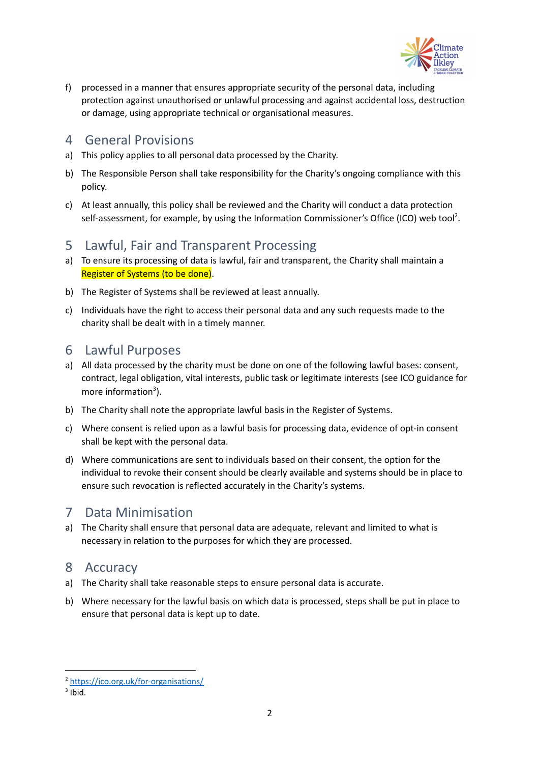

f) processed in a manner that ensures appropriate security of the personal data, including protection against unauthorised or unlawful processing and against accidental loss, destruction or damage, using appropriate technical or organisational measures.

#### 4 General Provisions

- a) This policy applies to all personal data processed by the Charity.
- b) The Responsible Person shall take responsibility for the Charity's ongoing compliance with this policy.
- c) At least annually, this policy shall be reviewed and the Charity will conduct a data protection self-assessment, for example, by using the Information Commissioner's Office (ICO) web tool<sup>2</sup>.

## 5 Lawful, Fair and Transparent Processing

- a) To ensure its processing of data is lawful, fair and transparent, the Charity shall maintain a Register of Systems (to be done).
- b) The Register of Systems shall be reviewed at least annually.
- c) Individuals have the right to access their personal data and any such requests made to the charity shall be dealt with in a timely manner.

#### 6 Lawful Purposes

- a) All data processed by the charity must be done on one of the following lawful bases: consent, contract, legal obligation, vital interests, public task or legitimate interests (see ICO guidance for more information<sup>3</sup>).
- b) The Charity shall note the appropriate lawful basis in the Register of Systems.
- c) Where consent is relied upon as a lawful basis for processing data, evidence of opt-in consent shall be kept with the personal data.
- d) Where communications are sent to individuals based on their consent, the option for the individual to revoke their consent should be clearly available and systems should be in place to ensure such revocation is reflected accurately in the Charity's systems.

# 7 Data Minimisation

a) The Charity shall ensure that personal data are adequate, relevant and limited to what is necessary in relation to the purposes for which they are processed.

## 8 Accuracy

- a) The Charity shall take reasonable steps to ensure personal data is accurate.
- b) Where necessary for the lawful basis on which data is processed, steps shall be put in place to ensure that personal data is kept up to date.

<sup>2</sup> <https://ico.org.uk/for-organisations/>

 $3$  Ibid.